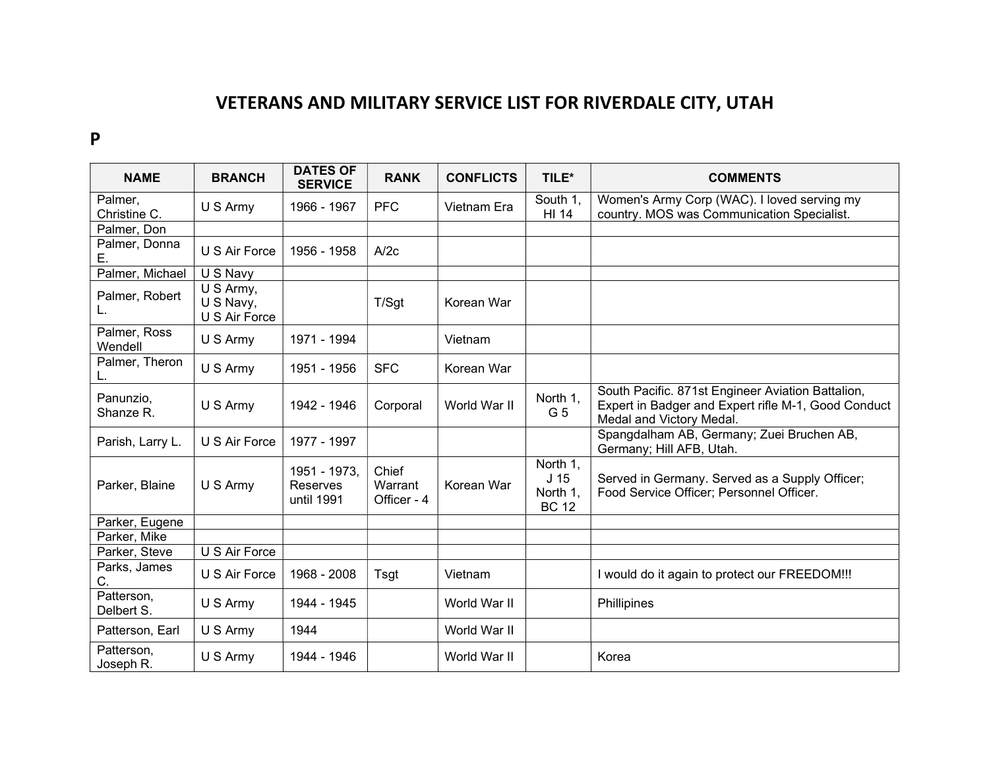## VETERANS AND MILITARY SERVICE LIST FOR RIVERDALE CITY, UTAH

## P

| <b>NAME</b>              | <b>BRANCH</b>                           | <b>DATES OF</b><br><b>SERVICE</b>      | <b>RANK</b>                     | <b>CONFLICTS</b> | TILE*                                                   | <b>COMMENTS</b>                                                                                                                      |
|--------------------------|-----------------------------------------|----------------------------------------|---------------------------------|------------------|---------------------------------------------------------|--------------------------------------------------------------------------------------------------------------------------------------|
| Palmer,<br>Christine C.  | U S Army                                | 1966 - 1967                            | <b>PFC</b>                      | Vietnam Era      | South 1,<br>HI 14                                       | Women's Army Corp (WAC). I loved serving my<br>country. MOS was Communication Specialist.                                            |
| Palmer, Don              |                                         |                                        |                                 |                  |                                                         |                                                                                                                                      |
| Palmer, Donna<br>Е.      | U S Air Force                           | 1956 - 1958                            | A/2c                            |                  |                                                         |                                                                                                                                      |
| Palmer, Michael          | U S Navy                                |                                        |                                 |                  |                                                         |                                                                                                                                      |
| Palmer, Robert<br>L.     | U S Army,<br>U S Navy,<br>U S Air Force |                                        | T/Sgt                           | Korean War       |                                                         |                                                                                                                                      |
| Palmer, Ross<br>Wendell  | U S Army                                | 1971 - 1994                            |                                 | Vietnam          |                                                         |                                                                                                                                      |
| Palmer, Theron           | U S Army                                | 1951 - 1956                            | <b>SFC</b>                      | Korean War       |                                                         |                                                                                                                                      |
| Panunzio,<br>Shanze R.   | U S Army                                | 1942 - 1946                            | Corporal                        | World War II     | North 1,<br>G 5                                         | South Pacific. 871st Engineer Aviation Battalion,<br>Expert in Badger and Expert rifle M-1, Good Conduct<br>Medal and Victory Medal. |
| Parish, Larry L.         | U S Air Force                           | 1977 - 1997                            |                                 |                  |                                                         | Spangdalham AB, Germany; Zuei Bruchen AB,<br>Germany; Hill AFB, Utah.                                                                |
| Parker, Blaine           | U S Army                                | 1951 - 1973,<br>Reserves<br>until 1991 | Chief<br>Warrant<br>Officer - 4 | Korean War       | North 1,<br>J <sub>15</sub><br>North 1,<br><b>BC 12</b> | Served in Germany. Served as a Supply Officer;<br>Food Service Officer; Personnel Officer.                                           |
| Parker, Eugene           |                                         |                                        |                                 |                  |                                                         |                                                                                                                                      |
| Parker, Mike             |                                         |                                        |                                 |                  |                                                         |                                                                                                                                      |
| Parker, Steve            | U S Air Force                           |                                        |                                 |                  |                                                         |                                                                                                                                      |
| Parks, James<br>C.       | U S Air Force                           | 1968 - 2008                            | Tsgt                            | Vietnam          |                                                         | I would do it again to protect our FREEDOM!!!                                                                                        |
| Patterson,<br>Delbert S. | U S Army                                | 1944 - 1945                            |                                 | World War II     |                                                         | Phillipines                                                                                                                          |
| Patterson, Earl          | U S Army                                | 1944                                   |                                 | World War II     |                                                         |                                                                                                                                      |
| Patterson,<br>Joseph R.  | U S Army                                | 1944 - 1946                            |                                 | World War II     |                                                         | Korea                                                                                                                                |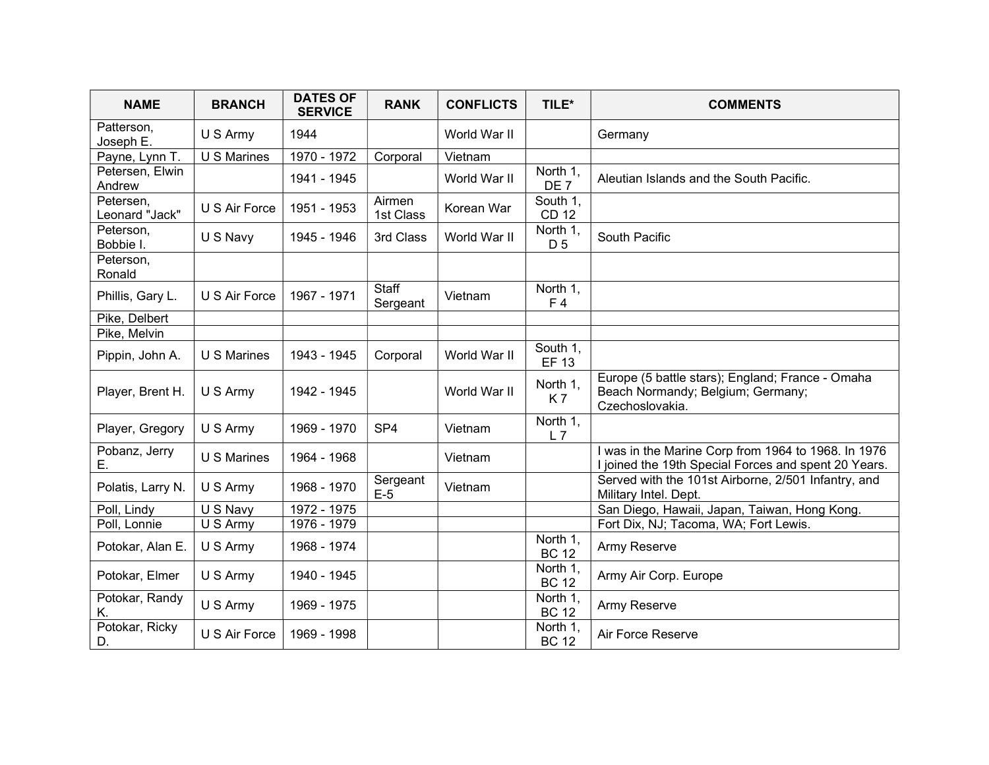| <b>NAME</b>                 | <b>BRANCH</b> | <b>DATES OF</b><br><b>SERVICE</b> | <b>RANK</b>         | <b>CONFLICTS</b> | TILE*                       | <b>COMMENTS</b>                                                                                             |
|-----------------------------|---------------|-----------------------------------|---------------------|------------------|-----------------------------|-------------------------------------------------------------------------------------------------------------|
| Patterson,<br>Joseph E.     | U S Army      | 1944                              |                     | World War II     |                             | Germany                                                                                                     |
| Payne, Lynn T.              | U S Marines   | 1970 - 1972                       | Corporal            | Vietnam          |                             |                                                                                                             |
| Petersen, Elwin<br>Andrew   |               | 1941 - 1945                       |                     | World War II     | North 1,<br>DE <sub>7</sub> | Aleutian Islands and the South Pacific.                                                                     |
| Petersen,<br>Leonard "Jack" | U S Air Force | 1951 - 1953                       | Airmen<br>1st Class | Korean War       | South 1,<br><b>CD 12</b>    |                                                                                                             |
| Peterson,<br>Bobbie I.      | U S Navy      | 1945 - 1946                       | 3rd Class           | World War II     | North 1,<br>D 5             | South Pacific                                                                                               |
| Peterson,<br>Ronald         |               |                                   |                     |                  |                             |                                                                                                             |
| Phillis, Gary L.            | U S Air Force | 1967 - 1971                       | Staff<br>Sergeant   | Vietnam          | North 1,<br>F <sub>4</sub>  |                                                                                                             |
| Pike, Delbert               |               |                                   |                     |                  |                             |                                                                                                             |
| Pike, Melvin                |               |                                   |                     |                  |                             |                                                                                                             |
| Pippin, John A.             | U S Marines   | 1943 - 1945                       | Corporal            | World War II     | South 1,<br><b>EF 13</b>    |                                                                                                             |
| Player, Brent H.            | U S Army      | 1942 - 1945                       |                     | World War II     | North 1,<br>K7              | Europe (5 battle stars); England; France - Omaha<br>Beach Normandy; Belgium; Germany;<br>Czechoslovakia.    |
| Player, Gregory             | U S Army      | 1969 - 1970                       | SP <sub>4</sub>     | Vietnam          | North 1,<br>L7              |                                                                                                             |
| Pobanz, Jerry<br>Е.         | U S Marines   | 1964 - 1968                       |                     | Vietnam          |                             | I was in the Marine Corp from 1964 to 1968. In 1976<br>I joined the 19th Special Forces and spent 20 Years. |
| Polatis, Larry N.           | U S Army      | 1968 - 1970                       | Sergeant<br>$E-5$   | Vietnam          |                             | Served with the 101st Airborne, 2/501 Infantry, and<br>Military Intel. Dept.                                |
| Poll, Lindy                 | U S Navy      | 1972 - 1975                       |                     |                  |                             | San Diego, Hawaii, Japan, Taiwan, Hong Kong.                                                                |
| Poll, Lonnie                | U S Army      | 1976 - 1979                       |                     |                  |                             | Fort Dix, NJ; Tacoma, WA; Fort Lewis.                                                                       |
| Potokar, Alan E.            | U S Army      | 1968 - 1974                       |                     |                  | North 1,<br><b>BC 12</b>    | Army Reserve                                                                                                |
| Potokar, Elmer              | U S Army      | 1940 - 1945                       |                     |                  | North 1,<br><b>BC 12</b>    | Army Air Corp. Europe                                                                                       |
| Potokar, Randy<br>Κ.        | U S Army      | 1969 - 1975                       |                     |                  | North 1,<br><b>BC 12</b>    | Army Reserve                                                                                                |
| Potokar, Ricky<br>D.        | U S Air Force | 1969 - 1998                       |                     |                  | North 1,<br><b>BC 12</b>    | Air Force Reserve                                                                                           |